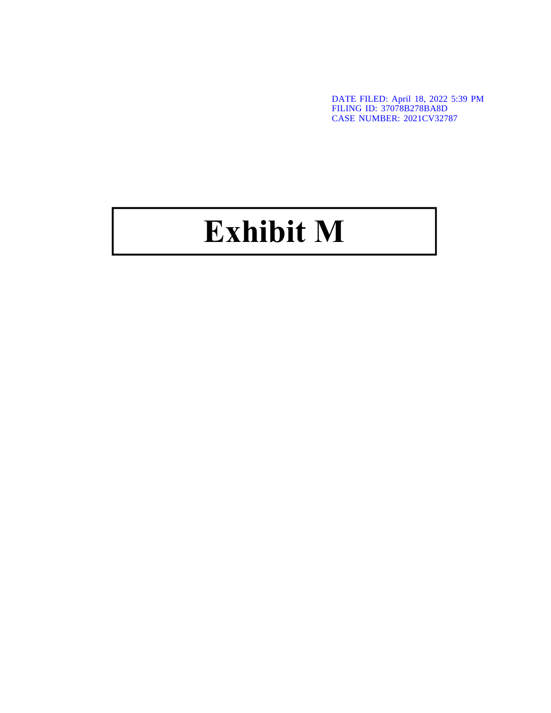DATE FILED: April 18, 2022 5:39 PM FILING ID: 37078B278BA8D CASE NUMBER: 2021CV32787

## Exhibit M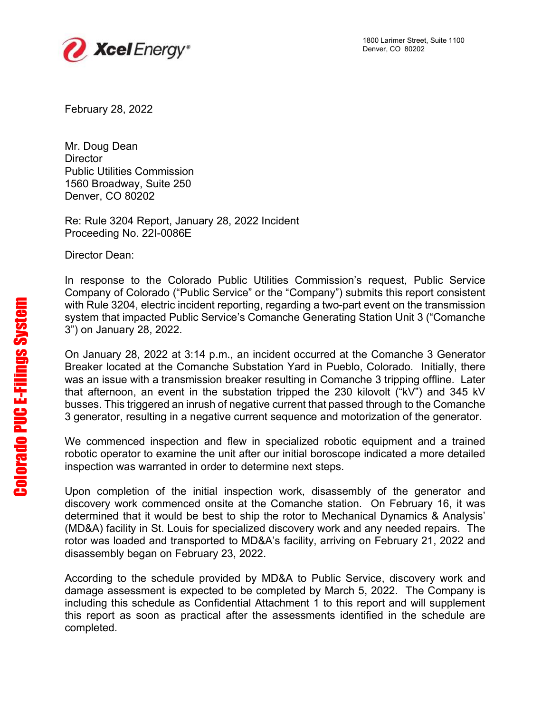

February 28, 2022

Mr. Doug Dean **Director** Public Utilities Commission 1560 Broadway, Suite 250 Denver, CO 80202

Re: Rule 3204 Report, January 28, 2022 Incident Proceeding No. 22I-0086E

Director Dean:

In response to the Colorado Public Utilities Commission's request, Public Service Company of Colorado ("Public Service" or the "Company") submits this report consistent with Rule 3204, electric incident reporting, regarding a two-part event on the transmission system that impacted Public Service's Comanche Generating Station Unit 3 ("Comanche 3") on January 28, 2022.

On January 28, 2022 at 3:14 p.m., an incident occurred at the Comanche 3 Generator Breaker located at the Comanche Substation Yard in Pueblo, Colorado. Initially, there was an issue with a transmission breaker resulting in Comanche 3 tripping offline. Later that afternoon, an event in the substation tripped the 230 kilovolt ("kV") and 345 kV busses. This triggered an inrush of negative current that passed through to the Comanche 3 generator, resulting in a negative current sequence and motorization of the generator. with Rule 3:<br>system that<br>3") on January<br>Breaker loc<br>was an isst<br>that afterno<br>busses. Thi<br>3 generator<br>We comme<br>robotic ope<br>inspection \<br>Upon\_com<br>discovery v<br>determined<br>(MD&A) fac<br>rotor was lot<br>disassembl<br>According<br>damage as

We commenced inspection and flew in specialized robotic equipment and a trained robotic operator to examine the unit after our initial boroscope indicated a more detailed inspection was warranted in order to determine next steps.

Upon completion of the initial inspection work, disassembly of the generator and discovery work commenced onsite at the Comanche station. On February 16, it was determined that it would be best to ship the rotor to Mechanical Dynamics & Analysis' (MD&A) facility in St. Louis for specialized discovery work and any needed repairs. The rotor was loaded and transported to MD&A's facility, arriving on February 21, 2022 and disassembly began on February 23, 2022.

According to the schedule provided by MD&A to Public Service, discovery work and damage assessment is expected to be completed by March 5, 2022. The Company is including this schedule as Confidential Attachment 1 to this report and will supplement this report as soon as practical after the assessments identified in the schedule are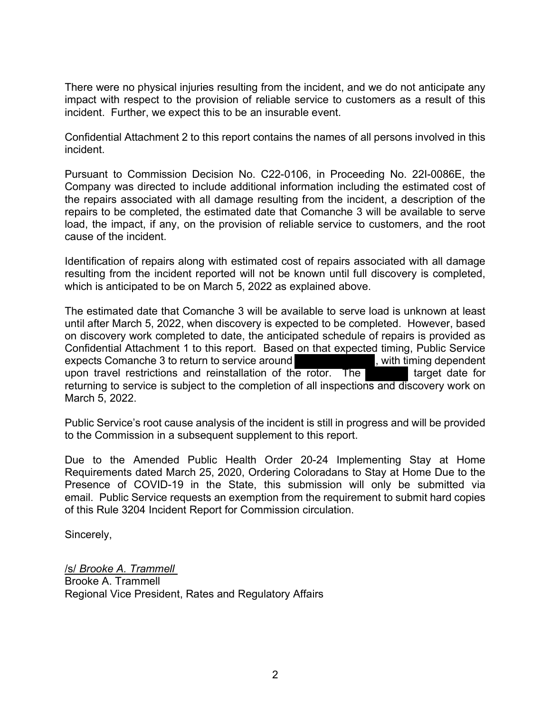There were no physical injuries resulting from the incident, and we do not anticipate any impact with respect to the provision of reliable service to customers as a result of this incident. Further, we expect this to be an insurable event.

Confidential Attachment 2 to this report contains the names of all persons involved in this incident.

Pursuant to Commission Decision No. C22-0106, in Proceeding No. 22I-0086E, the Company was directed to include additional information including the estimated cost of the repairs associated with all damage resulting from the incident, a description of the repairs to be completed, the estimated date that Comanche 3 will be available to serve load, the impact, if any, on the provision of reliable service to customers, and the root cause of the incident.

Identification of repairs along with estimated cost of repairs associated with all damage resulting from the incident reported will not be known until full discovery is completed, which is anticipated to be on March 5, 2022 as explained above.

The estimated date that Comanche 3 will be available to serve load is unknown at least until after March 5, 2022, when discovery is expected to be completed. However, based on discovery work completed to date, the anticipated schedule of repairs is provided as Confidential Attachment 1 to this report. Based on that expected timing, Public Service expects Comanche 3 to return to service around **the service of the service service**, with timing dependent upon travel restrictions and reinstallation of the rotor. The target date for returning to service is subject to the completion of all inspections and discovery work on March 5, 2022.

Public Service's root cause analysis of the incident is still in progress and will be provided to the Commission in a subsequent supplement to this report.

Due to the Amended Public Health Order 20-24 Implementing Stay at Home Requirements dated March 25, 2020, Ordering Coloradans to Stay at Home Due to the Presence of COVID-19 in the State, this submission will only be submitted via email. Public Service requests an exemption from the requirement to submit hard copies of this Rule 3204 Incident Report for Commission circulation.

Sincerely,

/s/ Brooke A. Trammell Brooke A. Trammell Regional Vice President, Rates and Regulatory Affairs